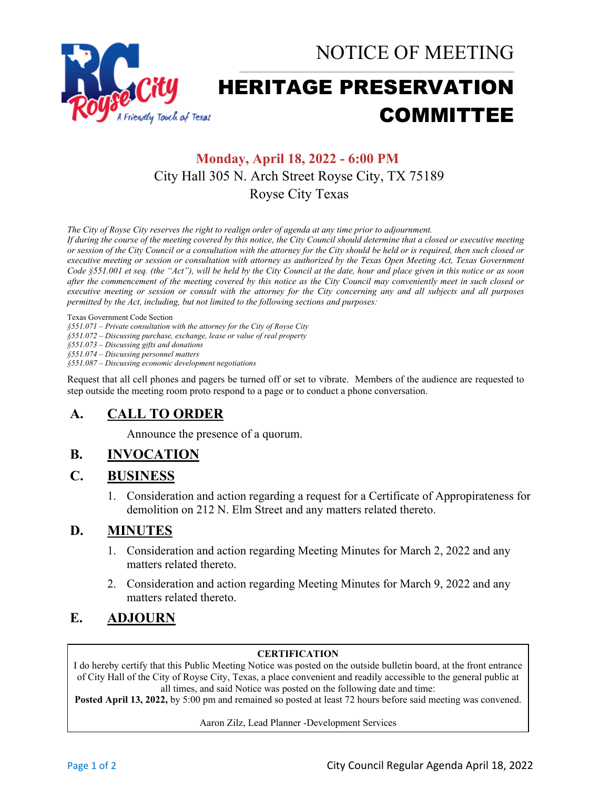

# HERITAGE PRESERVATION COMMITTEE

## **Monday, April 18, 2022 - 6:00 PM** City Hall 305 N. Arch Street Royse City, TX 75189 Royse City Texas

*The City of Royse City reserves the right to realign order of agenda at any time prior to adjournment.*

*If during the course of the meeting covered by this notice, the City Council should determine that a closed or executive meeting or session of the City Council or a consultation with the attorney for the City should be held or is required, then such closed or executive meeting or session or consultation with attorney as authorized by the Texas Open Meeting Act, Texas Government Code §551.001 et seq. (the "Act"), will be held by the City Council at the date, hour and place given in this notice or as soon after the commencement of the meeting covered by this notice as the City Council may conveniently meet in such closed or executive meeting or session or consult with the attorney for the City concerning any and all subjects and all purposes permitted by the Act, including, but not limited to the following sections and purposes:*

Texas Government Code Section

*§551.071 – Private consultation with the attorney for the City of Royse City* 

*§551.072 – Discussing purchase, exchange, lease or value of real property* 

*§551.073 – Discussing gifts and donations*

*§551.074 – Discussing personnel matters*

*§551.087 – Discussing economic development negotiations*

Request that all cell phones and pagers be turned off or set to vibrate. Members of the audience are requested to step outside the meeting room proto respond to a page or to conduct a phone conversation.

## **A. CALL TO ORDER**

Announce the presence of a quorum.

## **B. INVOCATION**

#### **C. BUSINESS**

1. Consideration and action regarding a request for a Certificate of Appropirateness for demolition on 212 N. Elm Street and any matters related thereto.

#### **D. MINUTES**

- 1. Consideration and action regarding Meeting Minutes for March 2, 2022 and any matters related thereto.
- 2. Consideration and action regarding Meeting Minutes for March 9, 2022 and any matters related thereto.

#### **E. ADJOURN**

#### **CERTIFICATION**

I do hereby certify that this Public Meeting Notice was posted on the outside bulletin board, at the front entrance of City Hall of the City of Royse City, Texas, a place convenient and readily accessible to the general public at all times, and said Notice was posted on the following date and time:

**Posted April 13, 2022,** by 5:00 pm and remained so posted at least 72 hours before said meeting was convened.

Aaron Zilz, Lead Planner -Development Services